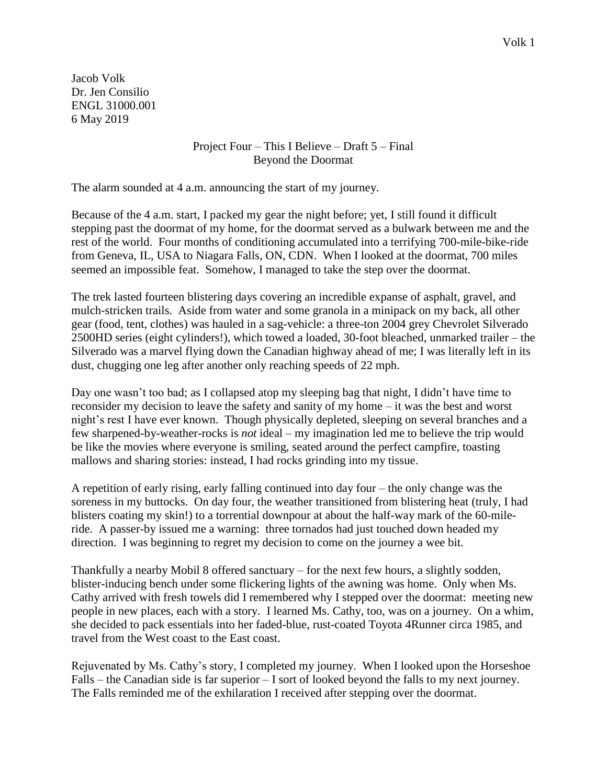Jacob Volk Dr. Jen Consilio ENGL 31000.001 6 May 2019

> Project Four – This I Believe – Draft 5 – Final Beyond the Doormat

The alarm sounded at 4 a.m. announcing the start of my journey.

Because of the 4 a.m. start, I packed my gear the night before; yet, I still found it difficult stepping past the doormat of my home, for the doormat served as a bulwark between me and the rest of the world. Four months of conditioning accumulated into a terrifying 700-mile-bike-ride from Geneva, IL, USA to Niagara Falls, ON, CDN. When I looked at the doormat, 700 miles seemed an impossible feat. Somehow, I managed to take the step over the doormat.

The trek lasted fourteen blistering days covering an incredible expanse of asphalt, gravel, and mulch-stricken trails. Aside from water and some granola in a minipack on my back, all other gear (food, tent, clothes) was hauled in a sag-vehicle: a three-ton 2004 grey Chevrolet Silverado 2500HD series (eight cylinders!), which towed a loaded, 30-foot bleached, unmarked trailer – the Silverado was a marvel flying down the Canadian highway ahead of me; I was literally left in its dust, chugging one leg after another only reaching speeds of 22 mph.

Day one wasn't too bad; as I collapsed atop my sleeping bag that night, I didn't have time to reconsider my decision to leave the safety and sanity of my home – it was the best and worst night's rest I have ever known. Though physically depleted, sleeping on several branches and a few sharpened-by-weather-rocks is *not* ideal – my imagination led me to believe the trip would be like the movies where everyone is smiling, seated around the perfect campfire, toasting mallows and sharing stories: instead, I had rocks grinding into my tissue.

A repetition of early rising, early falling continued into day four – the only change was the soreness in my buttocks. On day four, the weather transitioned from blistering heat (truly, I had blisters coating my skin!) to a torrential downpour at about the half-way mark of the 60-mileride. A passer-by issued me a warning: three tornados had just touched down headed my direction. I was beginning to regret my decision to come on the journey a wee bit.

Thankfully a nearby Mobil 8 offered sanctuary – for the next few hours, a slightly sodden, blister-inducing bench under some flickering lights of the awning was home. Only when Ms. Cathy arrived with fresh towels did I remembered why I stepped over the doormat: meeting new people in new places, each with a story. I learned Ms. Cathy, too, was on a journey. On a whim, she decided to pack essentials into her faded-blue, rust-coated Toyota 4Runner circa 1985, and travel from the West coast to the East coast.

Rejuvenated by Ms. Cathy's story, I completed my journey. When I looked upon the Horseshoe Falls – the Canadian side is far superior – I sort of looked beyond the falls to my next journey. The Falls reminded me of the exhilaration I received after stepping over the doormat.